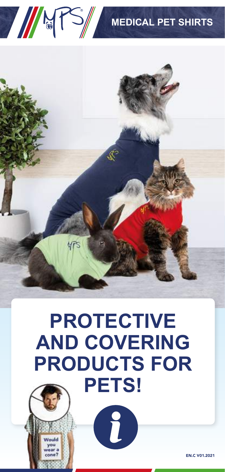

# **PROTECTIVE AND COVERING PRODUCTS FOR PETS!**

8

EN.C V01.2021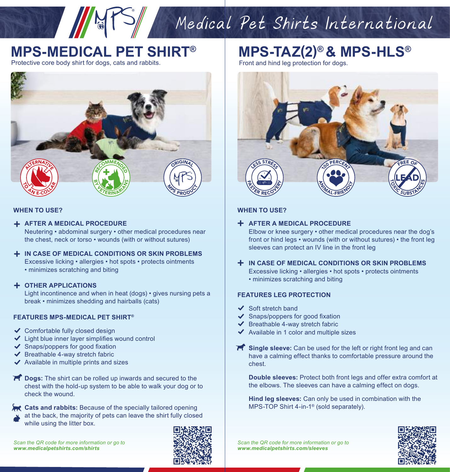# Medical Pet Shirts International

### **MPS-MEDICAL PET SHIRT®**

Protective core body shirt for dogs, cats and rabbits.



#### **WHEN TO USE?**

**AFTER A MEDICAL PROCEDURE**

Neutering • abdominal surgery • other medical procedures near the chest, neck or torso • wounds (with or without sutures)

**IN CASE OF MEDICAL CONDITIONS OR SKIN PROBLEMS** Excessive licking • allergies • hot spots • protects ointments • minimizes scratching and biting

#### **OTHER APPLICATIONS**

Light incontinence and when in heat (dogs) • gives nursing pets a break • minimizes shedding and hairballs (cats)

#### **FEATURES MPS-MEDICAL PET SHIRT®**

- ◆ Comfortable fully closed design
- $\checkmark$  Light blue inner layer simplifies wound control
- $\checkmark$  Snaps/poppers for good fixation
- $\blacktriangleright$  Breathable 4-way stretch fabric
- $\blacktriangleright$  Available in multiple prints and sizes
- **PC** Dogs: The shirt can be rolled up inwards and secured to the chest with the hold-up system to be able to walk your dog or to check the wound.
- **Cats and rabbits:** Because of the specially tailored opening
- at the back, the majority of pets can leave the shirt fully closed while using the litter box.



**MPS-TAZ(2)® & MPS-HLS®**

Front and hind leg protection for dogs.



#### **WHEN TO USE?**

#### **AFTER A MEDICAL PROCEDURE**

Elbow or knee surgery • other medical procedures near the dog's front or hind legs • wounds (with or without sutures) • the front leg sleeves can protect an IV line in the front leg

- **IN CASE OF MEDICAL CONDITIONS OR SKIN PROBLEMS** Excessive licking • allergies • hot spots • protects ointments
	- minimizes scratching and biting

#### **FEATURES LEG PROTECTION**

- $\checkmark$  Soft stretch band
- $\checkmark$  Snaps/poppers for good fixation
- $\blacktriangleright$  Breathable 4-way stretch fabric
- $\blacktriangleright$  Available in 1 color and multiple sizes
- **Single sleeve:** Can be used for the left or right front leg and can have a calming effect thanks to comfortable pressure around the chest.

**Double sleeves:** Protect both front legs and offer extra comfort at the elbows. The sleeves can have a calming effect on dogs.

**Hind leg sleeves:** Can only be used in combination with the MPS-TOP Shirt 4-in-1® (sold separately).



*Scan the QR code for more information or go to www.medicalpetshirts.com/sleeves*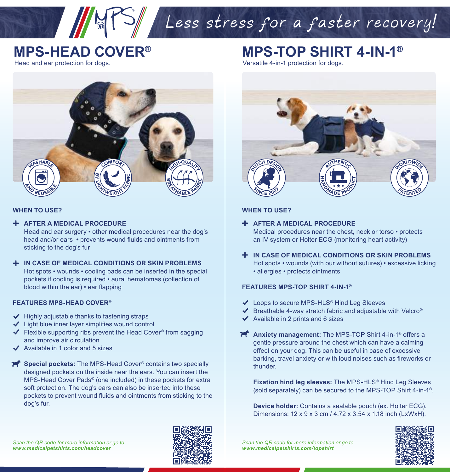### **MPS-HEAD COVER®**

Head and ear protection for dogs.



#### **WHEN TO USE?**

#### **AFTER A MEDICAL PROCEDURE**

Head and ear surgery • other medical procedures near the dog's head and/or ears **•** prevents wound fluids and ointments from sticking to the dog's fur

#### **IN CASE OF MEDICAL CONDITIONS OR SKIN PROBLEMS** Hot spots • wounds • cooling pads can be inserted in the special pockets if cooling is required • aural hematomas (collection of blood within the ear) • ear flapping

#### **FEATURES MPS-HEAD COVER®**

- $\blacktriangleright$  Highly adjustable thanks to fastening straps
- $\checkmark$  Light blue inner layer simplifies wound control
- $\blacktriangleright$  Flexible supporting ribs prevent the Head Cover<sup>®</sup> from sagging and improve air circulation
- Available in 1 color and 5 sizes
- **Special pockets:** The MPS-Head Cover<sup>®</sup> contains two specially designed pockets on the inside near the ears. You can insert the MPS-Head Cover Pads® (one included) in these pockets for extra soft protection. The dog's ears can also be inserted into these pockets to prevent wound fluids and ointments from sticking to the dog's fur.

**MPS-TOP SHIRT 4-IN-1®**

Versatile 4-in-1 protection for dogs.

Less stress for a faster recovery!



#### **WHEN TO USE?**

- **AFTER A MEDICAL PROCEDURE** Medical procedures near the chest, neck or torso • protects an IV system or Holter ECG (monitoring heart activity)
- **IN CASE OF MEDICAL CONDITIONS OR SKIN PROBLEMS** Hot spots • wounds (with our without sutures) • excessive licking • allergies • protects ointments

#### **FEATURES MPS-TOP SHIRT 4-IN-1®**

- Loops to secure MPS-HLS® Hind Leg Sleeves
- $\blacktriangleright$  Breathable 4-way stretch fabric and adjustable with Velcro®
- $\blacktriangleright$  Available in 2 prints and 6 sizes
- **Anxiety management:** The MPS-TOP Shirt 4-in-1® offers a gentle pressure around the chest which can have a calming effect on your dog. This can be useful in case of excessive barking, travel anxiety or with loud noises such as fireworks or thunder.

**Fixation hind leg sleeves:** The MPS-HLS® Hind Leg Sleeves (sold separately) can be secured to the MPS-TOP Shirt 4-in-1®.

**Device holder:** Contains a sealable pouch (ex. Holter ECG). Dimensions: 12 x 9 x 3 cm / 4.72 x 3.54 x 1.18 inch (LxWxH).



*Scan the QR code for more information or go to www.medicalpetshirts.com/topshirt*

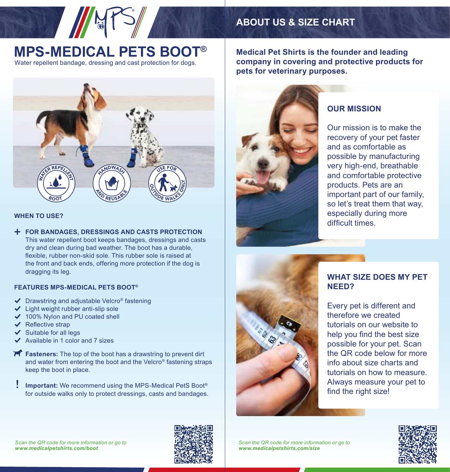

### **MPS-MEDICAL PETS BOOT®** Water repellent bandage, dressing and cast protection for dogs.



#### **WHEN TO USE?**

**FOR BANDAGES, DRESSINGS AND CASTS PROTECTION** This water repellent boot keeps bandages, dressings and casts dry and clean during bad weather. The boot has a durable, flexible, rubber non-skid sole. This rubber sole is raised at the front and back ends, offering more protection if the dog is dragging its leg.

#### **FEATURES MPS-MEDICAL PETS BOOT®**

- $\triangledown$  Drawstring and adjustable Velcro<sup>®</sup> fastening
- $\checkmark$  Light weight rubber anti-slip sole
- ◆ 100% Nylon and PU coated shell
- $\checkmark$  Reflective strap
- Suitable for all legs
- Available in 1 color and 7 sizes
- **Fasteners:** The top of the boot has a drawstring to prevent dirt and water from entering the boot and the Velcro® fastening straps keep the boot in place.
- **Important:** We recommend using the MPS-Medical PetS Boot® for outside walks only to protect dressings, casts and bandages. **!**

**Medical Pet Shirts is the founder and leading company in covering and protective products for pets for veterinary purposes.** 



### **OUR MISSION**

Our mission is to make the recovery of your pet faster and as comfortable as possible by manufacturing very high-end, breathable and comfortable protective products. Pets are an important part of our family, so let's treat them that way, especially during more difficult times.



#### **WHAT SIZE DOES MY PET NEED?**

Every pet is different and therefore we created tutorials on our website to help you find the best size possible for your pet. Scan the QR code below for more info about size charts and tutorials on how to measure. Always measure your pet to find the right size!

*Scan the QR code for more information or go to www.medicalpetshirts.com/size*



*Scan the QR code for more information or go to www.medicalpetshirts.com/boot*